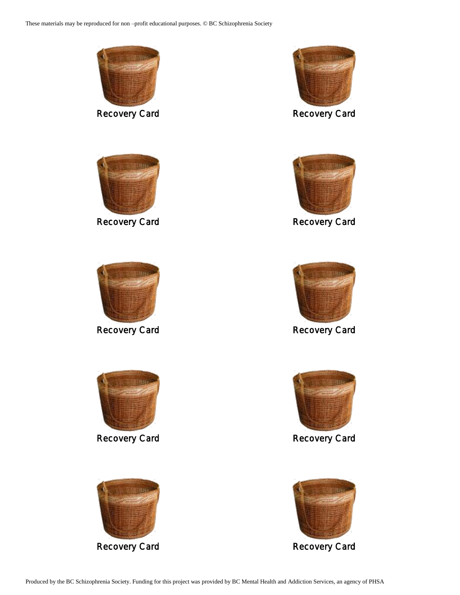



Recovery Card **Recovery Card** Recovery Card





Recovery Card **Recovery Card** Recovery Card





Recovery Card **Recovery Card** Recovery Card



Recovery Card **Recovery Card** Recovery Card





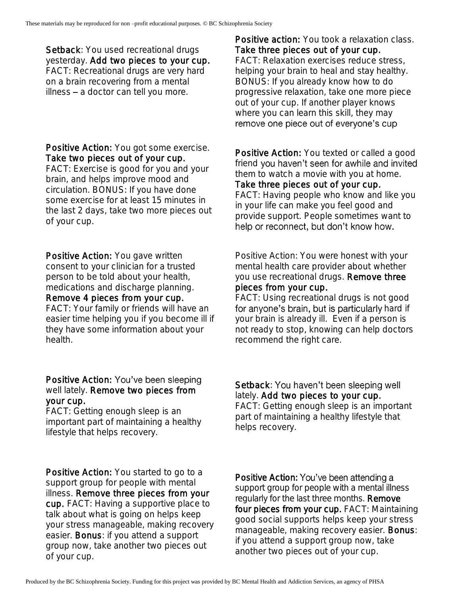Setback: You used recreational drugs yesterday. Add two pieces to your cup. FACT: Recreational drugs are very hard on a brain recovering from a mental illness  $-$  a doctor can tell you more.

Positive Action: You got some exercise. Take two pieces out of your cup.

FACT: Exercise is good for you and your brain, and helps improve mood and circulation. BONUS: If you have done some exercise for at least 15 minutes in the last 2 days, take two more pieces out of your cup.

Positive Action: You gave written consent to your clinician for a trusted person to be told about your health, medications and discharge planning. Remove 4 pieces from your cup. FACT: Your family or friends will have an easier time helping you if you become ill if they have some information about your health.

## Positive Action: You've been sleeping well lately. Remove two pieces from your cup.

FACT: Getting enough sleep is an important part of maintaining a healthy lifestyle that helps recovery.

Positive Action: You started to go to a support group for people with mental illness. Remove three pieces from your cup. FACT: Having a supportive place to talk about what is going on helps keep your stress manageable, making recovery easier. **Bonus**: if you attend a support group now, take another two pieces out of your cup.

Positive action: You took a relaxation class. Take three pieces out of your cup. FACT: Relaxation exercises reduce stress, helping your brain to heal and stay healthy. BONUS: If you already know how to do progressive relaxation, take one more piece out of your cup. If another player knows where you can learn this skill, they may remove one piece out of everyone's cup

Positive Action: You texted or called a good friend you haven't seen for awhile and invited them to watch a movie with you at home. Take three pieces out of your cup. FACT: Having people who know and like you in your life can make you feel good and provide support. People sometimes want to help or reconnect, but don't know how.

Positive Action: You were honest with your mental health care provider about whether you use recreational drugs. Remove three pieces from your cup.

FACT: Using recreational drugs is not good for anyone's brain, but is particularly hard if your brain is already ill. Even if a person is not ready to stop, knowing can help doctors recommend the right care.

Setback: You haven't been sleeping well lately. Add two pieces to your cup. FACT: Getting enough sleep is an important part of maintaining a healthy lifestyle that helps recovery.

Positive Action: You've been attending a support group for people with a mental illness regularly for the last three months. Remove four pieces from your cup. FACT: Maintaining good social supports helps keep your stress manageable, making recovery easier. **Bonus:** if you attend a support group now, take another two pieces out of your cup.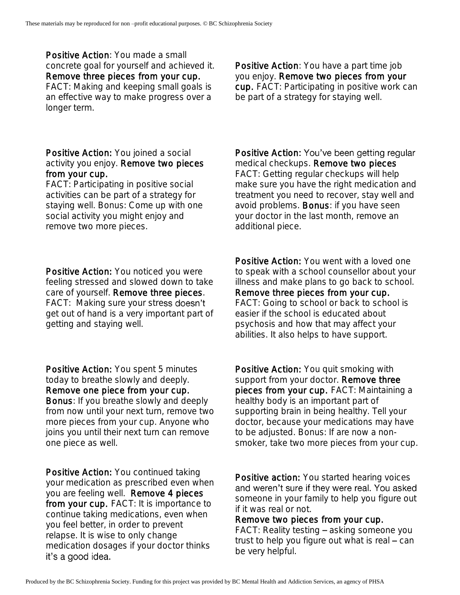Positive Action: You made a small concrete goal for yourself and achieved it. Remove three pieces from your cup. FACT: Making and keeping small goals is an effective way to make progress over a longer term.

Positive Action: You have a part time job you enjoy. Remove two pieces from your cup. FACT: Participating in positive work can be part of a strategy for staying well.

## Positive Action: You joined a social activity you enjoy. Remove two pieces from your cup.

FACT: Participating in positive social activities can be part of a strategy for staying well. Bonus: Come up with one social activity you might enjoy and remove two more pieces.

Positive Action: You noticed you were feeling stressed and slowed down to take care of yourself. Remove three pieces. FACT: Making sure your stress doesn't get out of hand is a very important part of getting and staying well.

Positive Action: You spent 5 minutes today to breathe slowly and deeply. Remove one piece from your cup. Bonus: If you breathe slowly and deeply from now until your next turn, remove two more pieces from your cup. Anyone who joins you until their next turn can remove one piece as well.

Positive Action: You continued taking your medication as prescribed even when you are feeling well. Remove 4 pieces from your cup. FACT: It is importance to continue taking medications, even when you feel better, in order to prevent relapse. It is wise to only change medication dosages if your doctor thinks it's a good idea.

Positive Action: You've been getting regular medical checkups. Remove two pieces FACT: Getting regular checkups will help make sure you have the right medication and treatment you need to recover, stay well and avoid problems. Bonus: if you have seen your doctor in the last month, remove an additional piece.

Positive Action: You went with a loved one to speak with a school counsellor about your illness and make plans to go back to school. Remove three pieces from your cup. FACT: Going to school or back to school is easier if the school is educated about psychosis and how that may affect your abilities. It also helps to have support.

Positive Action: You quit smoking with support from your doctor. Remove three pieces from your cup. FACT: Maintaining a healthy body is an important part of supporting brain in being healthy. Tell your doctor, because your medications may have to be adjusted. Bonus: If are now a nonsmoker, take two more pieces from your cup.

Positive action: You started hearing voices and weren't sure if they were real. You asked someone in your family to help you figure out if it was real or not.

Remove two pieces from your cup. FACT: Reality testing - asking someone you trust to help you figure out what is real  $-$  can be very helpful.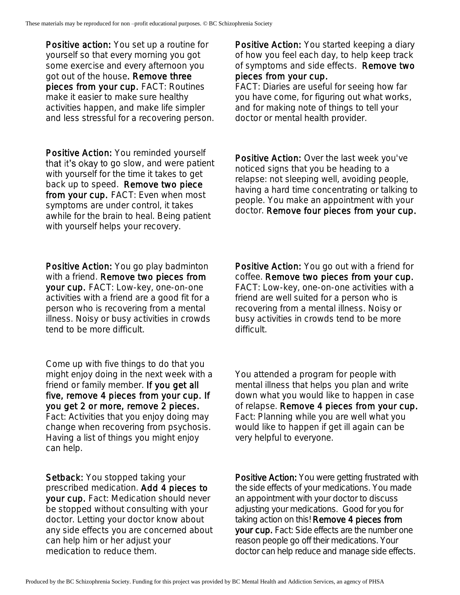Positive action: You set up a routine for yourself so that every morning you got some exercise and every afternoon you got out of the house. Remove three pieces from your cup. FACT: Routines make it easier to make sure healthy activities happen, and make life simpler and less stressful for a recovering person.

Positive Action: You reminded yourself that it's okay to go slow, and were patient with yourself for the time it takes to get back up to speed. Remove two piece from your cup. FACT: Even when most symptoms are under control, it takes awhile for the brain to heal. Being patient with yourself helps your recovery.

Positive Action: You go play badminton with a friend. Remove two pieces from your cup. FACT: Low-key, one-on-one activities with a friend are a good fit for a person who is recovering from a mental illness. Noisy or busy activities in crowds tend to be more difficult.

Come up with five things to do that you might enjoy doing in the next week with a friend or family member. If you get all five, remove 4 pieces from your cup. If you get 2 or more, remove 2 pieces. Fact: Activities that you enjoy doing may change when recovering from psychosis. Having a list of things you might enjoy can help.

Setback: You stopped taking your prescribed medication. Add 4 pieces to your cup. Fact: Medication should never be stopped without consulting with your doctor. Letting your doctor know about any side effects you are concerned about can help him or her adjust your medication to reduce them.

Positive Action: You started keeping a diary of how you feel each day, to help keep track of symptoms and side effects. Remove two pieces from your cup.

FACT: Diaries are useful for seeing how far you have come, for figuring out what works, and for making note of things to tell your doctor or mental health provider.

Positive Action: Over the last week you've noticed signs that you be heading to a relapse: not sleeping well, avoiding people, having a hard time concentrating or talking to people. You make an appointment with your doctor. Remove four pieces from your cup.

Positive Action: You go out with a friend for coffee. Remove two pieces from your cup. FACT: Low-key, one-on-one activities with a friend are well suited for a person who is recovering from a mental illness. Noisy or busy activities in crowds tend to be more difficult.

You attended a program for people with mental illness that helps you plan and write down what you would like to happen in case of relapse. Remove 4 pieces from your cup. Fact: Planning while you are well what you would like to happen if get ill again can be very helpful to everyone.

Positive Action: You were getting frustrated with the side effects of your medications. You made an appointment with your doctor to discuss adjusting your medications. Good for you for taking action on this! Remove 4 pieces from your cup. Fact: Side effects are the number one reason people go off their medications. Your doctor can help reduce and manage side effects.